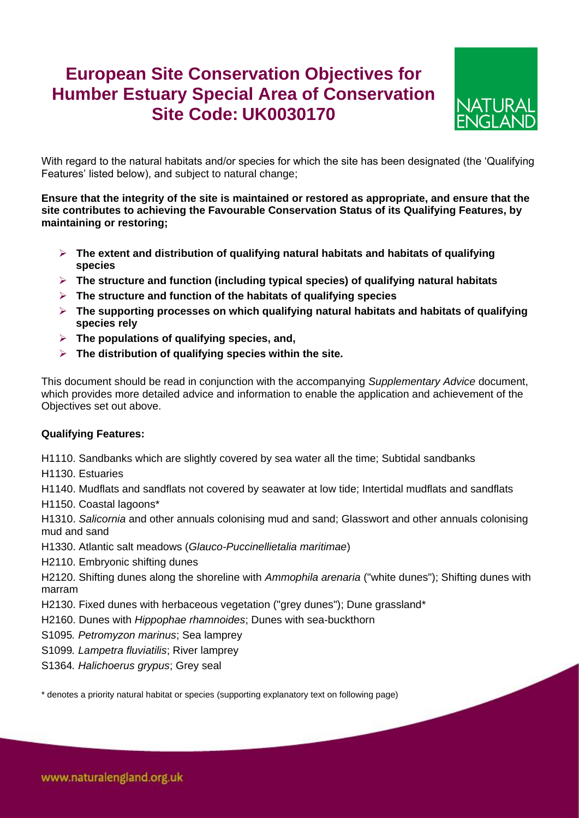# **European Site Conservation Objectives for Humber Estuary Special Area of Conservation Site Code: UK0030170**



With regard to the natural habitats and/or species for which the site has been designated (the 'Qualifying Features' listed below), and subject to natural change;

**Ensure that the integrity of the site is maintained or restored as appropriate, and ensure that the site contributes to achieving the Favourable Conservation Status of its Qualifying Features, by maintaining or restoring;**

- **The extent and distribution of qualifying natural habitats and habitats of qualifying species**
- **The structure and function (including typical species) of qualifying natural habitats**
- **The structure and function of the habitats of qualifying species**
- **The supporting processes on which qualifying natural habitats and habitats of qualifying species rely**
- **The populations of qualifying species, and,**
- **The distribution of qualifying species within the site.**

This document should be read in conjunction with the accompanying *Supplementary Advice* document, which provides more detailed advice and information to enable the application and achievement of the Objectives set out above.

## **Qualifying Features:**

H1110. Sandbanks which are slightly covered by sea water all the time; Subtidal sandbanks

H1130. Estuaries

H1140. Mudflats and sandflats not covered by seawater at low tide; Intertidal mudflats and sandflats

H1150. Coastal lagoons\*

H1310. *Salicornia* and other annuals colonising mud and sand; Glasswort and other annuals colonising mud and sand

H1330. Atlantic salt meadows (*Glauco-Puccinellietalia maritimae*)

H2110. Embryonic shifting dunes

H2120. Shifting dunes along the shoreline with *Ammophila arenaria* ("white dunes"); Shifting dunes with marram

H2130. Fixed dunes with herbaceous vegetation ("grey dunes"); Dune grassland\*

H2160. Dunes with *Hippophae rhamnoides*; Dunes with sea-buckthorn

S1095*. Petromyzon marinus*; Sea lamprey

S1099*. Lampetra fluviatilis*; River lamprey

S1364*. Halichoerus grypus*; Grey seal

\* denotes a priority natural habitat or species (supporting explanatory text on following page)